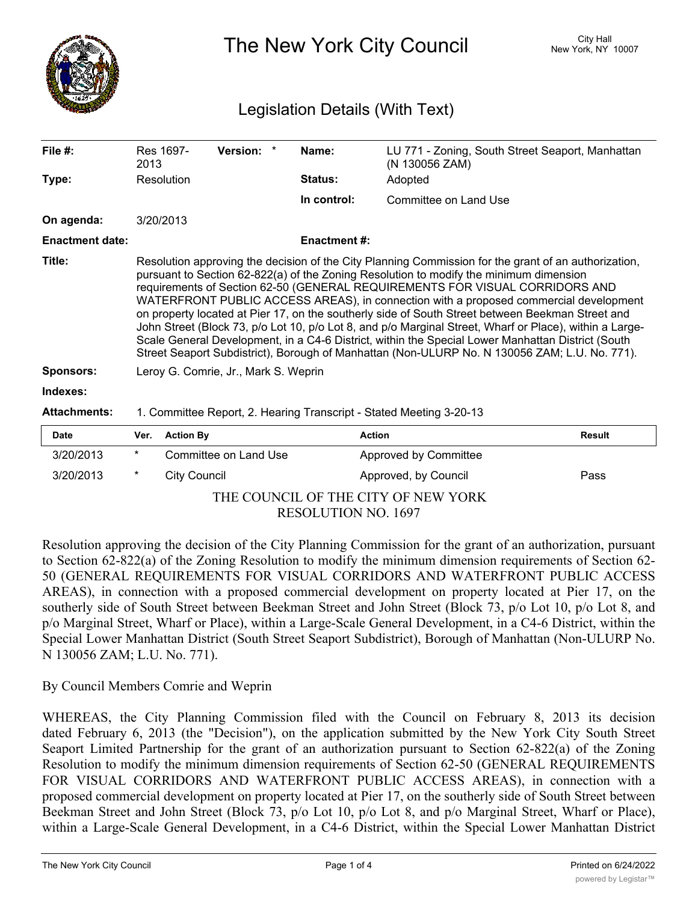

The New York City Council New York, NY 10007

## Legislation Details (With Text)

| File $#$ :             | Res 1697-<br>2013                                                                                                                                                                                                                                                                                                                                                                                                                                                                                                                                                                                                                                                                                                                                                                            | <b>Version:</b> |  | Name:               | LU 771 - Zoning, South Street Seaport, Manhattan<br>(N 130056 ZAM) |  |
|------------------------|----------------------------------------------------------------------------------------------------------------------------------------------------------------------------------------------------------------------------------------------------------------------------------------------------------------------------------------------------------------------------------------------------------------------------------------------------------------------------------------------------------------------------------------------------------------------------------------------------------------------------------------------------------------------------------------------------------------------------------------------------------------------------------------------|-----------------|--|---------------------|--------------------------------------------------------------------|--|
| Type:                  | Resolution                                                                                                                                                                                                                                                                                                                                                                                                                                                                                                                                                                                                                                                                                                                                                                                   |                 |  | <b>Status:</b>      | Adopted                                                            |  |
|                        |                                                                                                                                                                                                                                                                                                                                                                                                                                                                                                                                                                                                                                                                                                                                                                                              |                 |  | In control:         | Committee on Land Use                                              |  |
| On agenda:             | 3/20/2013                                                                                                                                                                                                                                                                                                                                                                                                                                                                                                                                                                                                                                                                                                                                                                                    |                 |  |                     |                                                                    |  |
| <b>Enactment date:</b> |                                                                                                                                                                                                                                                                                                                                                                                                                                                                                                                                                                                                                                                                                                                                                                                              |                 |  | <b>Enactment #:</b> |                                                                    |  |
| Title:                 | Resolution approving the decision of the City Planning Commission for the grant of an authorization,<br>pursuant to Section 62-822(a) of the Zoning Resolution to modify the minimum dimension<br>requirements of Section 62-50 (GENERAL REQUIREMENTS FOR VISUAL CORRIDORS AND<br>WATERFRONT PUBLIC ACCESS AREAS), in connection with a proposed commercial development<br>on property located at Pier 17, on the southerly side of South Street between Beekman Street and<br>John Street (Block 73, p/o Lot 10, p/o Lot 8, and p/o Marginal Street, Wharf or Place), within a Large-<br>Scale General Development, in a C4-6 District, within the Special Lower Manhattan District (South<br>Street Seaport Subdistrict), Borough of Manhattan (Non-ULURP No. N 130056 ZAM; L.U. No. 771). |                 |  |                     |                                                                    |  |
| <b>Sponsors:</b>       | Leroy G. Comrie, Jr., Mark S. Weprin                                                                                                                                                                                                                                                                                                                                                                                                                                                                                                                                                                                                                                                                                                                                                         |                 |  |                     |                                                                    |  |
| Indexes:               |                                                                                                                                                                                                                                                                                                                                                                                                                                                                                                                                                                                                                                                                                                                                                                                              |                 |  |                     |                                                                    |  |
| <b>Attachments:</b>    | 1. Committee Report, 2. Hearing Transcript - Stated Meeting 3-20-13                                                                                                                                                                                                                                                                                                                                                                                                                                                                                                                                                                                                                                                                                                                          |                 |  |                     |                                                                    |  |

| <b>Date</b>                         |         | Ver. Action By        | <b>Action</b>         | Result |  |  |  |
|-------------------------------------|---------|-----------------------|-----------------------|--------|--|--|--|
| 3/20/2013                           | $\star$ | Committee on Land Use | Approved by Committee |        |  |  |  |
| 3/20/2013                           |         | City Council          | Approved, by Council  | Pass   |  |  |  |
| THE COUNCIL OF THE CITY OF NEW YORK |         |                       |                       |        |  |  |  |

RESOLUTION NO. 1697

Resolution approving the decision of the City Planning Commission for the grant of an authorization, pursuant to Section 62-822(a) of the Zoning Resolution to modify the minimum dimension requirements of Section 62- 50 (GENERAL REQUIREMENTS FOR VISUAL CORRIDORS AND WATERFRONT PUBLIC ACCESS AREAS), in connection with a proposed commercial development on property located at Pier 17, on the southerly side of South Street between Beekman Street and John Street (Block 73, p/o Lot 10, p/o Lot 8, and p/o Marginal Street, Wharf or Place), within a Large-Scale General Development, in a C4-6 District, within the Special Lower Manhattan District (South Street Seaport Subdistrict), Borough of Manhattan (Non-ULURP No. N 130056 ZAM; L.U. No. 771).

By Council Members Comrie and Weprin

WHEREAS, the City Planning Commission filed with the Council on February 8, 2013 its decision dated February 6, 2013 (the "Decision"), on the application submitted by the New York City South Street Seaport Limited Partnership for the grant of an authorization pursuant to Section 62-822(a) of the Zoning Resolution to modify the minimum dimension requirements of Section 62-50 (GENERAL REQUIREMENTS FOR VISUAL CORRIDORS AND WATERFRONT PUBLIC ACCESS AREAS), in connection with a proposed commercial development on property located at Pier 17, on the southerly side of South Street between Beekman Street and John Street (Block 73, p/o Lot 10, p/o Lot 8, and p/o Marginal Street, Wharf or Place), within a Large-Scale General Development, in a C4-6 District, within the Special Lower Manhattan District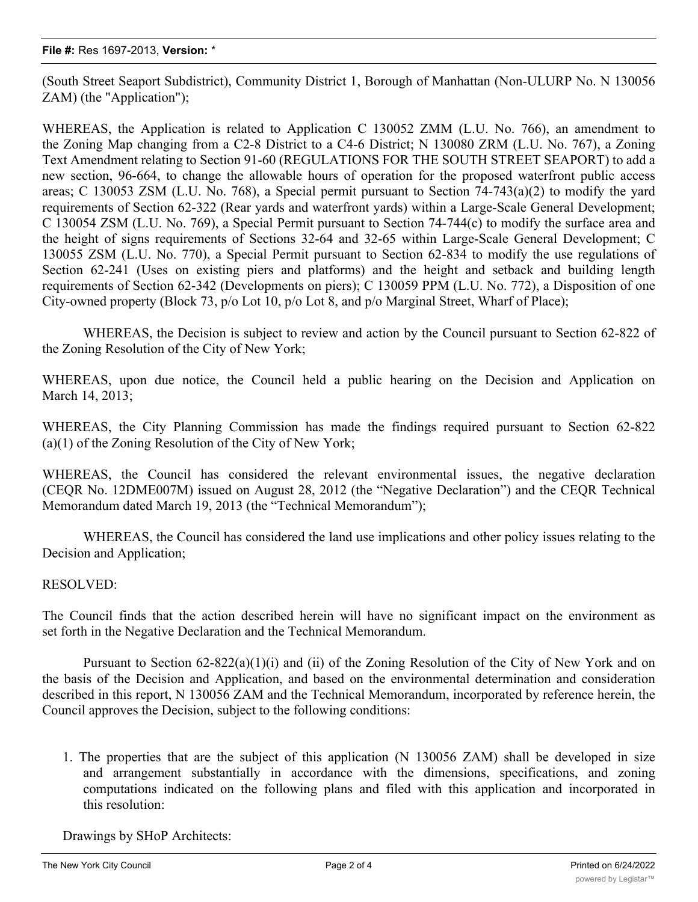(South Street Seaport Subdistrict), Community District 1, Borough of Manhattan (Non-ULURP No. N 130056 ZAM) (the "Application");

WHEREAS, the Application is related to Application C 130052 ZMM (L.U. No. 766), an amendment to the Zoning Map changing from a C2-8 District to a C4-6 District; N 130080 ZRM (L.U. No. 767), a Zoning Text Amendment relating to Section 91-60 (REGULATIONS FOR THE SOUTH STREET SEAPORT) to add a new section, 96-664, to change the allowable hours of operation for the proposed waterfront public access areas; C 130053 ZSM (L.U. No. 768), a Special permit pursuant to Section 74-743(a)(2) to modify the yard requirements of Section 62-322 (Rear yards and waterfront yards) within a Large-Scale General Development; C 130054 ZSM (L.U. No. 769), a Special Permit pursuant to Section 74-744(c) to modify the surface area and the height of signs requirements of Sections 32-64 and 32-65 within Large-Scale General Development; C 130055 ZSM (L.U. No. 770), a Special Permit pursuant to Section 62-834 to modify the use regulations of Section 62-241 (Uses on existing piers and platforms) and the height and setback and building length requirements of Section 62-342 (Developments on piers); C 130059 PPM (L.U. No. 772), a Disposition of one City-owned property (Block 73, p/o Lot 10, p/o Lot 8, and p/o Marginal Street, Wharf of Place);

WHEREAS, the Decision is subject to review and action by the Council pursuant to Section 62-822 of the Zoning Resolution of the City of New York;

WHEREAS, upon due notice, the Council held a public hearing on the Decision and Application on March 14, 2013;

WHEREAS, the City Planning Commission has made the findings required pursuant to Section 62-822 (a)(1) of the Zoning Resolution of the City of New York;

WHEREAS, the Council has considered the relevant environmental issues, the negative declaration (CEQR No. 12DME007M) issued on August 28, 2012 (the "Negative Declaration") and the CEQR Technical Memorandum dated March 19, 2013 (the "Technical Memorandum");

WHEREAS, the Council has considered the land use implications and other policy issues relating to the Decision and Application;

## RESOLVED:

The Council finds that the action described herein will have no significant impact on the environment as set forth in the Negative Declaration and the Technical Memorandum.

Pursuant to Section 62-822(a)(1)(i) and (ii) of the Zoning Resolution of the City of New York and on the basis of the Decision and Application, and based on the environmental determination and consideration described in this report, N 130056 ZAM and the Technical Memorandum, incorporated by reference herein, the Council approves the Decision, subject to the following conditions:

1. The properties that are the subject of this application (N 130056 ZAM) shall be developed in size and arrangement substantially in accordance with the dimensions, specifications, and zoning computations indicated on the following plans and filed with this application and incorporated in this resolution:

Drawings by SHoP Architects: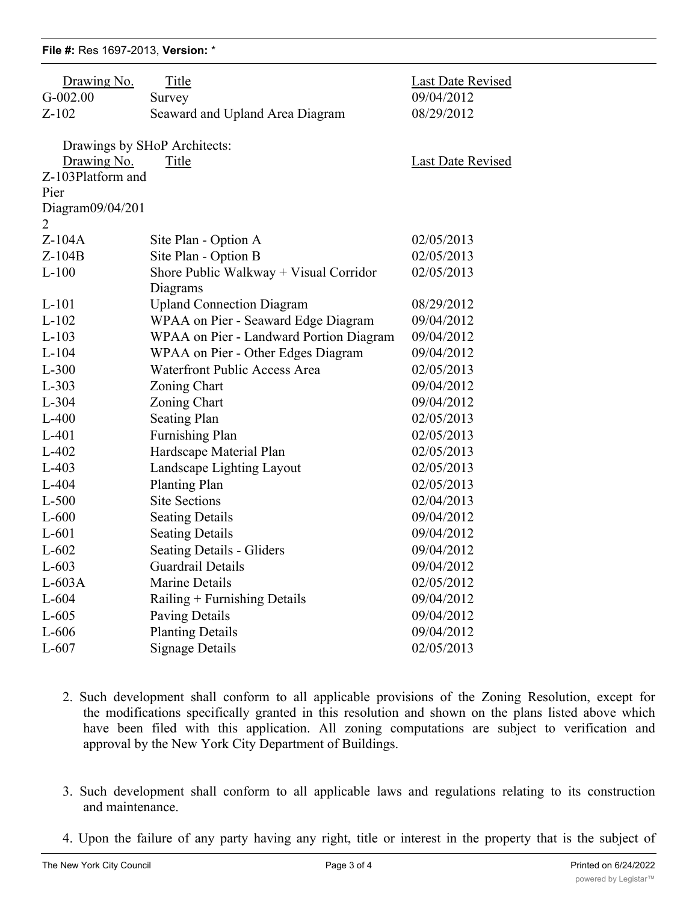## **File #:** Res 1697-2013, **Version:** \*

| Drawing No.<br>$G-002.00$ | Title<br>Survey                         | Last Date Revised<br>09/04/2012 |
|---------------------------|-----------------------------------------|---------------------------------|
| $Z-102$                   | Seaward and Upland Area Diagram         | 08/29/2012                      |
|                           |                                         |                                 |
|                           | Drawings by SHoP Architects:            |                                 |
| Drawing No.               | Title                                   | Last Date Revised               |
| Z-103Platform and         |                                         |                                 |
| Pier                      |                                         |                                 |
| Diagram09/04/201          |                                         |                                 |
| 2                         |                                         |                                 |
| $Z-104A$                  | Site Plan - Option A                    | 02/05/2013                      |
| $Z-104B$                  | Site Plan - Option B                    | 02/05/2013                      |
| $L-100$                   | Shore Public Walkway + Visual Corridor  | 02/05/2013                      |
|                           | Diagrams                                |                                 |
| $L-101$                   | <b>Upland Connection Diagram</b>        | 08/29/2012                      |
| $L-102$                   | WPAA on Pier - Seaward Edge Diagram     | 09/04/2012                      |
| $L-103$                   | WPAA on Pier - Landward Portion Diagram | 09/04/2012                      |
| $L-104$                   | WPAA on Pier - Other Edges Diagram      | 09/04/2012                      |
| $L-300$                   | Waterfront Public Access Area           | 02/05/2013                      |
| $L-303$                   | Zoning Chart                            | 09/04/2012                      |
| $L-304$                   | Zoning Chart                            | 09/04/2012                      |
| $L-400$                   | <b>Seating Plan</b>                     | 02/05/2013                      |
| $L-401$                   | <b>Furnishing Plan</b>                  | 02/05/2013                      |
| $L-402$                   | Hardscape Material Plan                 | 02/05/2013                      |
| $L-403$                   | Landscape Lighting Layout               | 02/05/2013                      |
| $L-404$                   | <b>Planting Plan</b>                    | 02/05/2013                      |
| $L-500$                   | <b>Site Sections</b>                    | 02/04/2013                      |
| $L-600$                   | <b>Seating Details</b>                  | 09/04/2012                      |
| $L-601$                   | <b>Seating Details</b>                  | 09/04/2012                      |
| $L-602$                   | <b>Seating Details - Gliders</b>        | 09/04/2012                      |
| $L-603$                   | Guardrail Details                       | 09/04/2012                      |
| $L-603A$                  | Marine Details                          | 02/05/2012                      |
| $L-604$                   | Railing + Furnishing Details            | 09/04/2012                      |
| $L-605$                   | Paving Details                          | 09/04/2012                      |
| $L-606$                   | <b>Planting Details</b>                 | 09/04/2012                      |
| $L-607$                   | <b>Signage Details</b>                  | 02/05/2013                      |

- 2. Such development shall conform to all applicable provisions of the Zoning Resolution, except for the modifications specifically granted in this resolution and shown on the plans listed above which have been filed with this application. All zoning computations are subject to verification and approval by the New York City Department of Buildings.
- 3. Such development shall conform to all applicable laws and regulations relating to its construction and maintenance.
- 4. Upon the failure of any party having any right, title or interest in the property that is the subject of